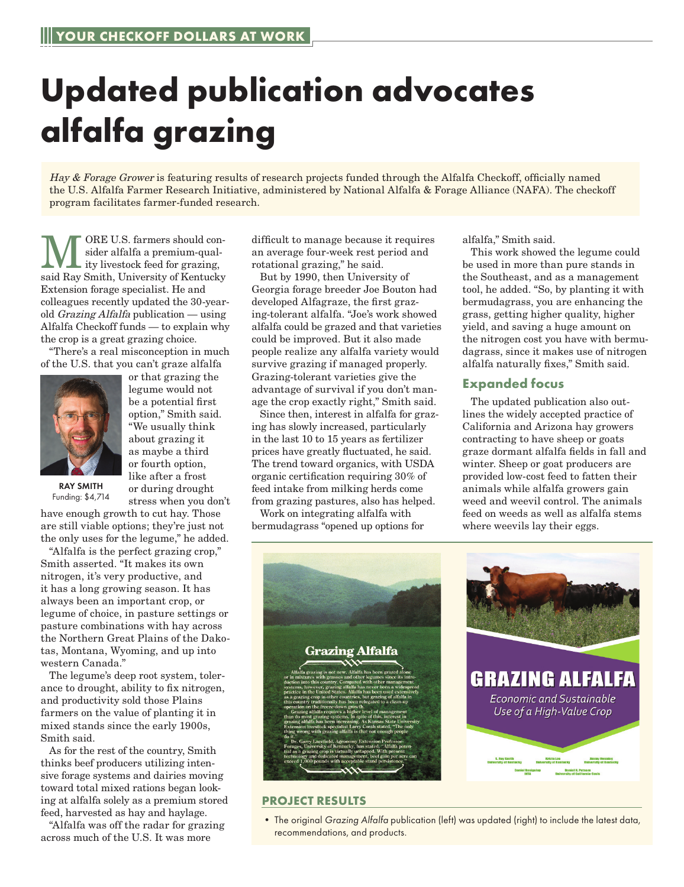## **Updated publication advocates alfalfa grazing**

Hay & Forage Grower is featuring results of research projects funded through the Alfalfa Checkoff, officially named the U.S. Alfalfa Farmer Research Initiative, administered by National Alfalfa & Forage Alliance (NAFA). The checkoff program facilitates farmer-funded research.

WE U.S. farmers should con-<br>sider alfalfa a premium-qual-<br>ity livestock feed for grazing,<br>said Bay Smith, University of Kontucku sider alfalfa a premium-qualsaid Ray Smith, University of Kentucky Extension forage specialist. He and colleagues recently updated the 30-yearold Grazing Alfalfa publication — using Alfalfa Checkoff funds — to explain why the crop is a great grazing choice.

"There's a real misconception in much of the U.S. that you can't graze alfalfa



or that grazing the legume would not be a potential first option," Smith said. "We usually think about grazing it as maybe a third or fourth option, like after a frost or during drought stress when you don't

RAY SMITH Funding: \$4,714

have enough growth to cut hay. Those are still viable options; they're just not the only uses for the legume," he added.

"Alfalfa is the perfect grazing crop," Smith asserted. "It makes its own nitrogen, it's very productive, and it has a long growing season. It has always been an important crop, or legume of choice, in pasture settings or pasture combinations with hay across the Northern Great Plains of the Dakotas, Montana, Wyoming, and up into western Canada."

The legume's deep root system, tolerance to drought, ability to fix nitrogen, and productivity sold those Plains farmers on the value of planting it in mixed stands since the early 1900s, Smith said.

As for the rest of the country, Smith thinks beef producers utilizing intensive forage systems and dairies moving toward total mixed rations began looking at alfalfa solely as a premium stored feed, harvested as hay and haylage.

"Alfalfa was off the radar for grazing across much of the U.S. It was more

difficult to manage because it requires an average four-week rest period and rotational grazing," he said.

But by 1990, then University of Georgia forage breeder Joe Bouton had developed Alfagraze, the first grazing-tolerant alfalfa. "Joe's work showed alfalfa could be grazed and that varieties could be improved. But it also made people realize any alfalfa variety would survive grazing if managed properly. Grazing-tolerant varieties give the advantage of survival if you don't manage the crop exactly right," Smith said.

Since then, interest in alfalfa for grazing has slowly increased, particularly in the last 10 to 15 years as fertilizer prices have greatly fluctuated, he said. The trend toward organics, with USDA organic certification requiring 30% of feed intake from milking herds come from grazing pastures, also has helped.

Work on integrating alfalfa with bermudagrass "opened up options for alfalfa," Smith said.

This work showed the legume could be used in more than pure stands in the Southeast, and as a management tool, he added. "So, by planting it with bermudagrass, you are enhancing the grass, getting higher quality, higher yield, and saving a huge amount on the nitrogen cost you have with bermudagrass, since it makes use of nitrogen alfalfa naturally fixes," Smith said.

## **Expanded focus**

The updated publication also outlines the widely accepted practice of California and Arizona hay growers contracting to have sheep or goats graze dormant alfalfa fields in fall and winter. Sheep or goat producers are provided low-cost feed to fatten their animals while alfalfa growers gain weed and weevil control. The animals feed on weeds as well as alfalfa stems where weevils lay their eggs.



## **PROJECT RESULTS**

• The original *Grazing Alfalfa* publication (left) was updated (right) to include the latest data, recommendations, and products.